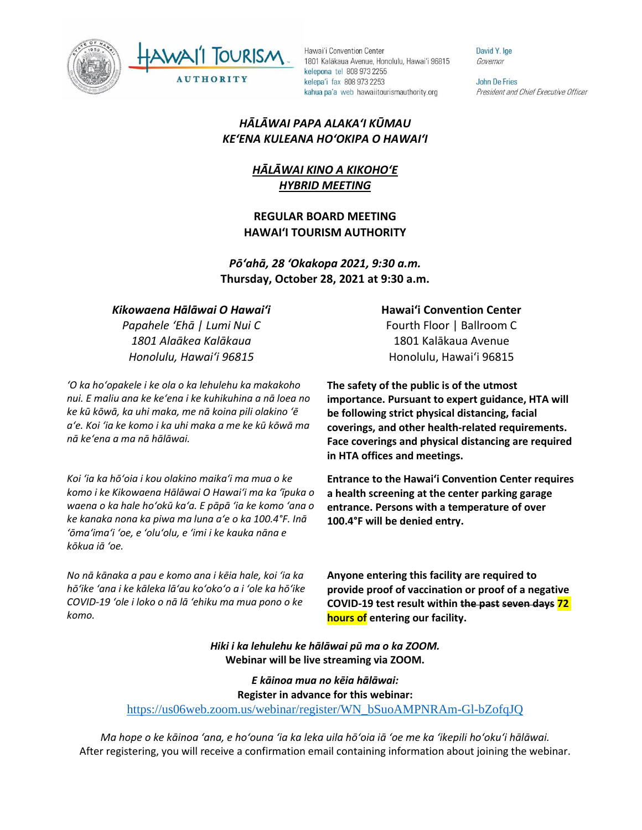



Hawai'i Convention Center 1801 Kalākaua Avenue, Honolulu, Hawai'i 96815 kelepona tel 808 973 2255 kelepa'i fax 808 973 2253 kahua pa'a web hawaiitourismauthority.org

David Y. Ige Governor

**John De Fries** President and Chief Executive Officer

### *HĀLĀWAI PAPA ALAKAʻI KŪMAU KEʻENA KULEANA HOʻOKIPA O HAWAIʻI*

# *HĀLĀWAI KINO A KIKOHOʻE HYBRID MEETING*

### **REGULAR BOARD MEETING HAWAI'I TOURISM AUTHORITY**

*Pōʻahā, 28 ʻOkakopa 2021, 9:30 a.m.* **Thursday, October 28, 2021 at 9:30 a.m.**

### *Kikowaena Hālāwai O Hawaiʻi*

*Papahele ʻEhā | Lumi Nui C 1801 Alaākea Kalākaua Honolulu, Hawaiʻi 96815*

*ʻO ka hoʻopakele i ke ola o ka lehulehu ka makakoho nui. E maliu ana ke keʻena i ke kuhikuhina a nā loea no ke kū kōwā, ka uhi maka, me nā koina pili olakino ʻē aʻe. Koi ʻia ke komo i ka uhi maka a me ke kū kōwā ma nā keʻena a ma nā hālāwai.*

*Koi ʻia ka hōʻoia i kou olakino maikaʻi ma mua o ke komo i ke Kikowaena Hālāwai O Hawaiʻi ma ka ʻīpuka o waena o ka hale hoʻokū kaʻa. E pāpā ʻia ke komo ʻana o ke kanaka nona ka piwa ma luna aʻe o ka 100.4°F. Inā ʻōmaʻimaʻi ʻoe, e ʻoluʻolu, e ʻimi i ke kauka nāna e kōkua iā ʻoe.* 

*No nā kānaka a pau e komo ana i kēia hale, koi ʻia ka hōʻike ʻana i ke kāleka lāʻau koʻokoʻo a i ʻole ka hōʻike COVID-19 ʻole i loko o nā lā ʻehiku ma mua pono o ke komo.*

#### **Hawaiʻi Convention Center**

Fourth Floor | Ballroom C 1801 Kalākaua Avenue Honolulu, Hawaiʻi 96815

**The safety of the public is of the utmost importance. Pursuant to expert guidance, HTA will be following strict physical distancing, facial coverings, and other health-related requirements. Face coverings and physical distancing are required in HTA offices and meetings.** 

**Entrance to the Hawaiʻi Convention Center requires a health screening at the center parking garage entrance. Persons with a temperature of over 100.4°F will be denied entry.** 

**Anyone entering this facility are required to provide proof of vaccination or proof of a negative COVID-19 test result within the past seven days 72 hours of entering our facility.**

*Hiki i ka lehulehu ke hālāwai pū ma o ka ZOOM.* **Webinar will be live streaming via ZOOM.**

*E kāinoa mua no kēia hālāwai:* **Register in advance for this webinar:** [https://us06web.zoom.us/webinar/register/WN\\_bSuoAMPNRAm-Gl-bZofqJQ](https://us06web.zoom.us/webinar/register/WN_bSuoAMPNRAm-Gl-bZofqJQ)

*Ma hope o ke kāinoa ʻana, e hoʻouna ʻia ka leka uila hōʻoia iā ʻoe me ka ʻikepili hoʻokuʻi hālāwai.* After registering, you will receive a confirmation email containing information about joining the webinar.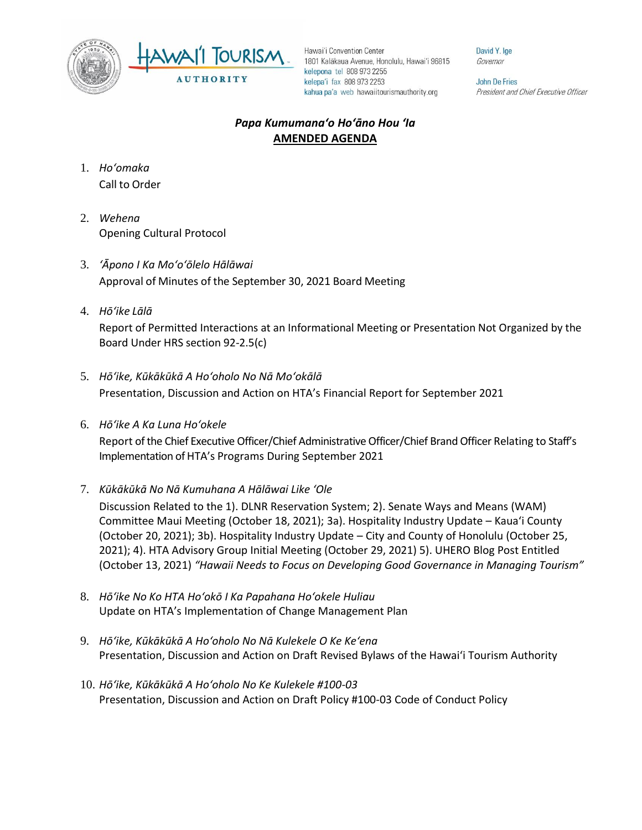



Hawai'i Convention Center 1801 Kalākaua Avenue, Honolulu, Hawai'i 96815 kelepona tel 808 973 2255 kelepa'i fax 808 973 2253 kahua pa'a web hawaiitourismauthority.org

David Y. Ige Governor

**John De Fries** President and Chief Executive Officer

## *Papa Kumumanaʻo Hoʻāno Hou ʻIa* **AMENDED AGENDA**

- 1. *Ho'omaka* Call to Order
- 2. *Wehena* Opening Cultural Protocol
- 3. *ʻĀpono I Ka Moʻoʻōlelo Hālāwai* Approval of Minutes of the September 30, 2021 Board Meeting
- 4. *Hō'ike Lālā*

Report of Permitted Interactions at an Informational Meeting or Presentation Not Organized by the Board Under HRS section 92-2.5(c)

- 5. *Hōʻike, Kūkākūkā A Hoʻoholo No Nā Moʻokālā*  Presentation, Discussion and Action on HTA's Financial Report for September 2021
- 6. *Hōʻike A Ka Luna Hoʻokele*

Report of the Chief Executive Officer/Chief Administrative Officer/Chief Brand Officer Relating to Staff's Implementation of HTA's Programs During September 2021

7. *Kūkākūkā No Nā Kumuhana A Hālāwai Like ʻOle*

Discussion Related to the 1). DLNR Reservation System; 2). Senate Ways and Means (WAM) Committee Maui Meeting (October 18, 2021); 3a). Hospitality Industry Update – Kaua'i County (October 20, 2021); 3b). Hospitality Industry Update – City and County of Honolulu (October 25, 2021); 4). HTA Advisory Group Initial Meeting (October 29, 2021) 5). UHERO Blog Post Entitled (October 13, 2021) *"Hawaii Needs to Focus on Developing Good Governance in Managing Tourism"*

- 8. *Hōʻike No Ko HTA Hoʻokō I Ka Papahana Hoʻokele Huliau* Update on HTA's Implementation of Change Management Plan
- 9. *Hōʻike, Kūkākūkā A Hoʻoholo No Nā Kulekele O Ke Keʻena* Presentation, Discussion and Action on Draft Revised Bylaws of the Hawai'i Tourism Authority
- 10. *Hōʻike, Kūkākūkā A Hoʻoholo No Ke Kulekele #100-03* Presentation, Discussion and Action on Draft Policy #100-03 Code of Conduct Policy